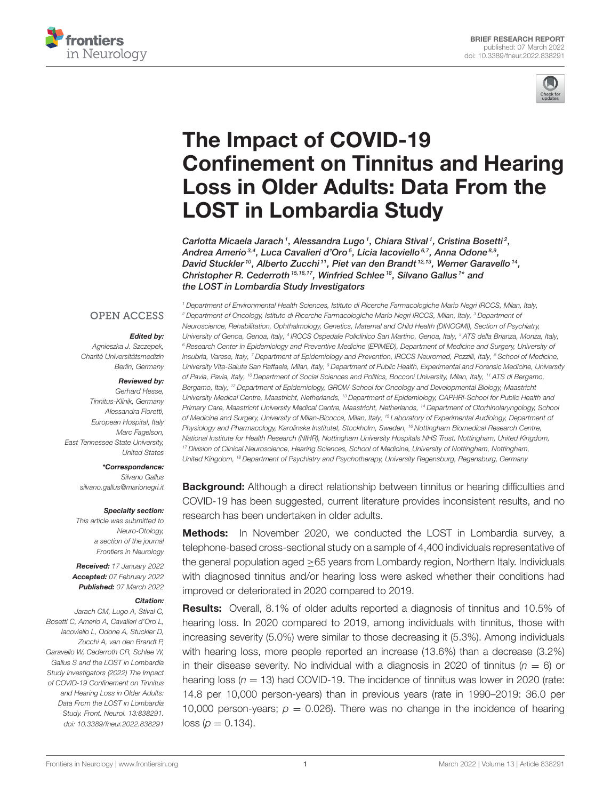



# The Impact of COVID-19 [Confinement on Tinnitus and Hearing](https://www.frontiersin.org/articles/10.3389/fneur.2022.838291/full) Loss in Older Adults: Data From the LOST in Lombardia Study

Carlotta Micaela Jarach<sup>1</sup>, Alessandra Lugo<sup>1</sup>, Chiara Stival<sup>1</sup>, Cristina Bosetti<sup>2</sup>, Andrea Amerio $^{\scriptscriptstyle 3,4}$ , Luca Cavalieri d'Oro $^{\scriptscriptstyle 5}$ , Licia Iacoviello $^{\scriptscriptstyle 6,7}$ , Anna Odone $^{\scriptscriptstyle 8,9}$ , David Stuckler<sup>10</sup>, Alberto Zucchi<sup>11</sup>, Piet van den Brandt<sup>12,13</sup>, Werner Garavello<sup>14</sup>, Christopher R. Cederroth<sup>15,16,17</sup>, Winfried Schlee<sup>18</sup>, Silvano Gallus<sup>1\*</sup> and the LOST in Lombardia Study Investigators

### **OPEN ACCESS**

#### Edited by:

Agnieszka J. Szczepek, Charité Universitätsmedizin Berlin, Germany

#### Reviewed by:

Gerhard Hesse, Tinnitus-Klinik, Germany Alessandra Fioretti, European Hospital, Italy Marc Fagelson, East Tennessee State University, United States

#### \*Correspondence:

Silvano Gallus [silvano.gallus@marionegri.it](mailto:silvano.gallus@marionegri.it)

#### Specialty section:

This article was submitted to Neuro-Otology, a section of the journal Frontiers in Neurology

Received: 17 January 2022 Accepted: 07 February 2022 Published: 07 March 2022

#### Citation:

Jarach CM, Lugo A, Stival C, Bosetti C, Amerio A, Cavalieri d'Oro L, Iacoviello L, Odone A, Stuckler D, Zucchi A, van den Brandt P, Garavello W, Cederroth CR, Schlee W, Gallus S and the LOST in Lombardia Study Investigators (2022) The Impact of COVID-19 Confinement on Tinnitus and Hearing Loss in Older Adults: Data From the LOST in Lombardia Study. Front. Neurol. 13:838291. doi: [10.3389/fneur.2022.838291](https://doi.org/10.3389/fneur.2022.838291)

<sup>1</sup> Department of Environmental Health Sciences, Istituto di Ricerche Farmacologiche Mario Negri IRCCS, Milan, Italy, <sup>2</sup> Department of Oncology, Istituto di Ricerche Farmacologiche Mario Negri IRCCS, Milan, Italy, <sup>3</sup> Department of Neuroscience, Rehabilitation, Ophthalmology, Genetics, Maternal and Child Health (DINOGMI), Section of Psychiatry, University of Genoa, Genoa, Italy, <sup>4</sup> IRCCS Ospedale Policlinico San Martino, Genoa, Italy, <sup>s</sup> ATS della Brianza, Monza, Italy, <sup>6</sup> Research Center in Epidemiology and Preventive Medicine (EPIMED), Department of Medicine and Surgery, University of Insubria, Varese, Italy, 7 Department of Epidemiology and Prevention, IRCCS Neuromed, Pozzilli, Italy, <sup>8</sup> School of Medicine, University Vita-Salute San Raffaele, Milan, Italy, <sup>9</sup> Department of Public Health, Experimental and Forensic Medicine, University of Pavia, Pavia, Italy, <sup>10</sup> Department of Social Sciences and Politics, Bocconi University, Milan, Italy, <sup>11</sup> ATS di Bergamo, Bergamo, Italy, <sup>12</sup> Department of Epidemiology, GROW-School for Oncology and Developmental Biology, Maastricht University Medical Centre, Maastricht, Netherlands, <sup>13</sup> Department of Epidemiology, CAPHRI-School for Public Health and Primary Care, Maastricht University Medical Centre, Maastricht, Netherlands, <sup>14</sup> Department of Otorhinolaryngology, School of Medicine and Surgery, University of Milan-Bicocca, Milan, Italy, <sup>15</sup> Laboratory of Experimental Audiology, Department of Physiology and Pharmacology, Karolinska Institutet, Stockholm, Sweden, <sup>16</sup> Nottingham Biomedical Research Centre, National Institute for Health Research (NIHR), Nottingham University Hospitals NHS Trust, Nottingham, United Kingdom, <sup>17</sup> Division of Clinical Neuroscience, Hearing Sciences, School of Medicine, University of Nottingham, Nottingham, United Kingdom, <sup>18</sup> Department of Psychiatry and Psychotherapy, University Regensburg, Regensburg, Germany

**Background:** Although a direct relationship between tinnitus or hearing difficulties and COVID-19 has been suggested, current literature provides inconsistent results, and no research has been undertaken in older adults.

Methods: In November 2020, we conducted the LOST in Lombardia survey, a telephone-based cross-sectional study on a sample of 4,400 individuals representative of the general population aged >65 years from Lombardy region, Northern Italy. Individuals with diagnosed tinnitus and/or hearing loss were asked whether their conditions had improved or deteriorated in 2020 compared to 2019.

Results: Overall, 8.1% of older adults reported a diagnosis of tinnitus and 10.5% of hearing loss. In 2020 compared to 2019, among individuals with tinnitus, those with increasing severity (5.0%) were similar to those decreasing it (5.3%). Among individuals with hearing loss, more people reported an increase (13.6%) than a decrease (3.2%) in their disease severity. No individual with a diagnosis in 2020 of tinnitus ( $n = 6$ ) or hearing loss ( $n = 13$ ) had COVID-19. The incidence of tinnitus was lower in 2020 (rate: 14.8 per 10,000 person-years) than in previous years (rate in 1990–2019: 36.0 per 10,000 person-years;  $p = 0.026$ ). There was no change in the incidence of hearing  $loss (p = 0.134).$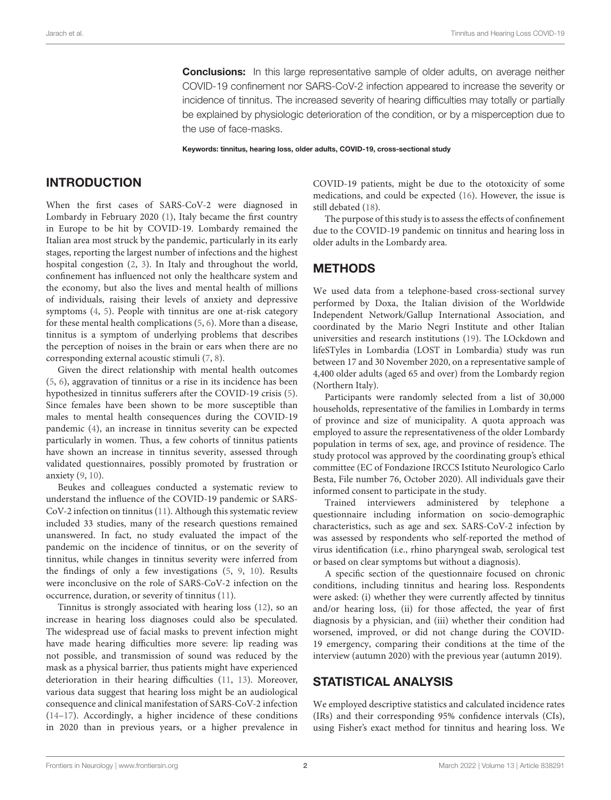**Conclusions:** In this large representative sample of older adults, on average neither COVID-19 confinement nor SARS-CoV-2 infection appeared to increase the severity or incidence of tinnitus. The increased severity of hearing difficulties may totally or partially be explained by physiologic deterioration of the condition, or by a misperception due to the use of face-masks.

Keywords: tinnitus, hearing loss, older adults, COVID-19, cross-sectional study

# INTRODUCTION

When the first cases of SARS-CoV-2 were diagnosed in Lombardy in February 2020 [\(1\)](#page-4-0), Italy became the first country in Europe to be hit by COVID-19. Lombardy remained the Italian area most struck by the pandemic, particularly in its early stages, reporting the largest number of infections and the highest hospital congestion [\(2,](#page-4-1) [3\)](#page-4-2). In Italy and throughout the world, confinement has influenced not only the healthcare system and the economy, but also the lives and mental health of millions of individuals, raising their levels of anxiety and depressive symptoms [\(4,](#page-4-3) [5\)](#page-4-4). People with tinnitus are one at-risk category for these mental health complications [\(5,](#page-4-4) [6\)](#page-4-5). More than a disease, tinnitus is a symptom of underlying problems that describes the perception of noises in the brain or ears when there are no corresponding external acoustic stimuli [\(7,](#page-4-6) [8\)](#page-4-7).

Given the direct relationship with mental health outcomes [\(5,](#page-4-4) [6\)](#page-4-5), aggravation of tinnitus or a rise in its incidence has been hypothesized in tinnitus sufferers after the COVID-19 crisis [\(5\)](#page-4-4). Since females have been shown to be more susceptible than males to mental health consequences during the COVID-19 pandemic [\(4\)](#page-4-3), an increase in tinnitus severity can be expected particularly in women. Thus, a few cohorts of tinnitus patients have shown an increase in tinnitus severity, assessed through validated questionnaires, possibly promoted by frustration or anxiety [\(9,](#page-4-8) [10\)](#page-4-9).

Beukes and colleagues conducted a systematic review to understand the influence of the COVID-19 pandemic or SARS-CoV-2 infection on tinnitus [\(11\)](#page-4-10). Although this systematic review included 33 studies, many of the research questions remained unanswered. In fact, no study evaluated the impact of the pandemic on the incidence of tinnitus, or on the severity of tinnitus, while changes in tinnitus severity were inferred from the findings of only a few investigations [\(5,](#page-4-4) [9,](#page-4-8) [10\)](#page-4-9). Results were inconclusive on the role of SARS-CoV-2 infection on the occurrence, duration, or severity of tinnitus [\(11\)](#page-4-10).

Tinnitus is strongly associated with hearing loss [\(12\)](#page-4-11), so an increase in hearing loss diagnoses could also be speculated. The widespread use of facial masks to prevent infection might have made hearing difficulties more severe: lip reading was not possible, and transmission of sound was reduced by the mask as a physical barrier, thus patients might have experienced deterioration in their hearing difficulties [\(11,](#page-4-10) [13\)](#page-4-12). Moreover, various data suggest that hearing loss might be an audiological consequence and clinical manifestation of SARS-CoV-2 infection [\(14](#page-4-13)[–17\)](#page-4-14). Accordingly, a higher incidence of these conditions in 2020 than in previous years, or a higher prevalence in COVID-19 patients, might be due to the ototoxicity of some medications, and could be expected [\(16\)](#page-4-15). However, the issue is still debated [\(18\)](#page-4-16).

The purpose of this study is to assess the effects of confinement due to the COVID-19 pandemic on tinnitus and hearing loss in older adults in the Lombardy area.

# METHODS

We used data from a telephone-based cross-sectional survey performed by Doxa, the Italian division of the Worldwide Independent Network/Gallup International Association, and coordinated by the Mario Negri Institute and other Italian universities and research institutions [\(19\)](#page-4-17). The LOckdown and lifeSTyles in Lombardia (LOST in Lombardia) study was run between 17 and 30 November 2020, on a representative sample of 4,400 older adults (aged 65 and over) from the Lombardy region (Northern Italy).

Participants were randomly selected from a list of 30,000 households, representative of the families in Lombardy in terms of province and size of municipality. A quota approach was employed to assure the representativeness of the older Lombardy population in terms of sex, age, and province of residence. The study protocol was approved by the coordinating group's ethical committee (EC of Fondazione IRCCS Istituto Neurologico Carlo Besta, File number 76, October 2020). All individuals gave their informed consent to participate in the study.

Trained interviewers administered by telephone a questionnaire including information on socio-demographic characteristics, such as age and sex. SARS-CoV-2 infection by was assessed by respondents who self-reported the method of virus identification (i.e., rhino pharyngeal swab, serological test or based on clear symptoms but without a diagnosis).

A specific section of the questionnaire focused on chronic conditions, including tinnitus and hearing loss. Respondents were asked: (i) whether they were currently affected by tinnitus and/or hearing loss, (ii) for those affected, the year of first diagnosis by a physician, and (iii) whether their condition had worsened, improved, or did not change during the COVID-19 emergency, comparing their conditions at the time of the interview (autumn 2020) with the previous year (autumn 2019).

# STATISTICAL ANALYSIS

We employed descriptive statistics and calculated incidence rates (IRs) and their corresponding 95% confidence intervals (CIs), using Fisher's exact method for tinnitus and hearing loss. We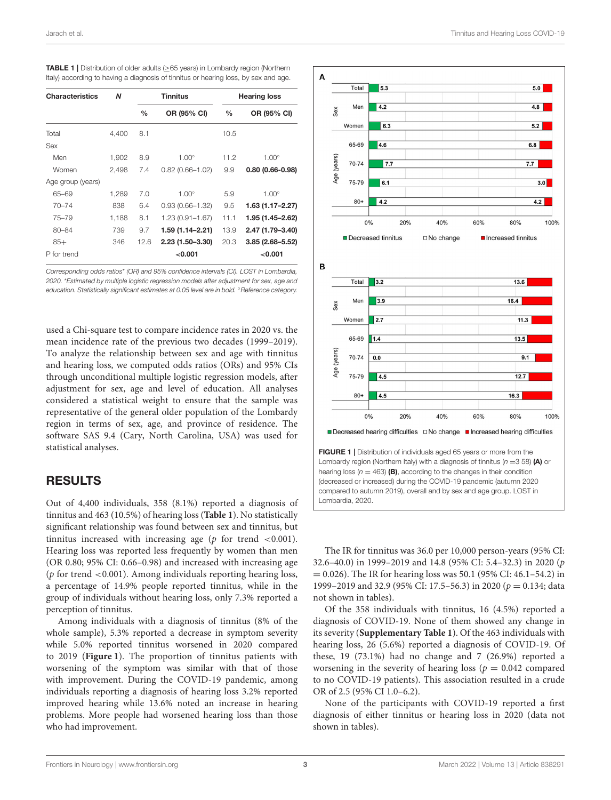<span id="page-2-0"></span>

| <b>TABLE 1</b> Distribution of older adults ( $\geq$ 65 years) in Lombardy region (Northern |
|---------------------------------------------------------------------------------------------|
| Italy) according to having a diagnosis of tinnitus or hearing loss, by sex and age.         |

| <b>Characteristics</b> | N     | <b>Tinnitus</b> |                     | <b>Hearing loss</b> |                     |
|------------------------|-------|-----------------|---------------------|---------------------|---------------------|
|                        |       | $\frac{0}{0}$   | OR (95% CI)         | $\frac{0}{0}$       | OR (95% CI)         |
| Total                  | 4,400 | 8.1             |                     | 10.5                |                     |
| Sex                    |       |                 |                     |                     |                     |
| Men                    | 1,902 | 8.9             | $1.00^\circ$        | 11.2                | $1.00^\circ$        |
| Women                  | 2.498 | 7.4             | $0.82(0.66 - 1.02)$ | 9.9                 | $0.80(0.66 - 0.98)$ |
| Age group (years)      |       |                 |                     |                     |                     |
| 65-69                  | 1,289 | 7.0             | $1.00^\circ$        | 5.9                 | $1.00^\circ$        |
| $70 - 74$              | 838   | 6.4             | $0.93(0.66 - 1.32)$ | 9.5                 | 1.63 (1.17–2.27)    |
| $75 - 79$              | 1,188 | 8.1             | 1.23 (0.91-1.67)    | 11.1                | 1.95 (1.45–2.62)    |
| $80 - 84$              | 739   | 9.7             | 1.59 (1.14–2.21)    | 13.9                | 2.47 (1.79-3.40)    |
| $85+$                  | 346   | 12.6            | 2.23 (1.50-3.30)    | 20.3                | $3.85(2.68 - 5.52)$ |
| P for trend            |       |                 | < 0.001             |                     | 0.001               |

Corresponding odds ratios\* (OR) and 95% confidence intervals (CI). LOST in Lombardia, 2020. \*Estimated by multiple logistic regression models after adjustment for sex, age and education. Statistically significant estimates at 0.05 level are in bold. <sup>○</sup>Reference category.

used a Chi-square test to compare incidence rates in 2020 vs. the mean incidence rate of the previous two decades (1999–2019). To analyze the relationship between sex and age with tinnitus and hearing loss, we computed odds ratios (ORs) and 95% CIs through unconditional multiple logistic regression models, after adjustment for sex, age and level of education. All analyses considered a statistical weight to ensure that the sample was representative of the general older population of the Lombardy region in terms of sex, age, and province of residence. The software SAS 9.4 (Cary, North Carolina, USA) was used for statistical analyses.

# RESULTS

Out of 4,400 individuals, 358 (8.1%) reported a diagnosis of tinnitus and 463 (10.5%) of hearing loss (**[Table 1](#page-2-0)**). No statistically significant relationship was found between sex and tinnitus, but tinnitus increased with increasing age ( $p$  for trend <0.001). Hearing loss was reported less frequently by women than men (OR 0.80; 95% CI: 0.66–0.98) and increased with increasing age ( $p$  for trend <0.001). Among individuals reporting hearing loss, a percentage of 14.9% people reported tinnitus, while in the group of individuals without hearing loss, only 7.3% reported a perception of tinnitus.

Among individuals with a diagnosis of tinnitus (8% of the whole sample), 5.3% reported a decrease in symptom severity while 5.0% reported tinnitus worsened in 2020 compared to 2019 (**[Figure 1](#page-2-1)**). The proportion of tinnitus patients with worsening of the symptom was similar with that of those with improvement. During the COVID-19 pandemic, among individuals reporting a diagnosis of hearing loss 3.2% reported improved hearing while 13.6% noted an increase in hearing problems. More people had worsened hearing loss than those who had improvement.



<span id="page-2-1"></span>The IR for tinnitus was 36.0 per 10,000 person-years (95% CI: 32.6–40.0) in 1999–2019 and 14.8 (95% CI: 5.4–32.3) in 2020 (p  $= 0.026$ ). The IR for hearing loss was 50.1 (95% CI: 46.1–54.2) in 1999–2019 and 32.9 (95% CI: 17.5–56.3) in 2020 ( $p = 0.134$ ; data not shown in tables).

Of the 358 individuals with tinnitus, 16 (4.5%) reported a diagnosis of COVID-19. None of them showed any change in its severity (**[Supplementary Table 1](#page-4-18)**). Of the 463 individuals with hearing loss, 26 (5.6%) reported a diagnosis of COVID-19. Of these, 19 (73.1%) had no change and 7 (26.9%) reported a worsening in the severity of hearing loss ( $p = 0.042$  compared to no COVID-19 patients). This association resulted in a crude OR of 2.5 (95% CI 1.0–6.2).

None of the participants with COVID-19 reported a first diagnosis of either tinnitus or hearing loss in 2020 (data not shown in tables).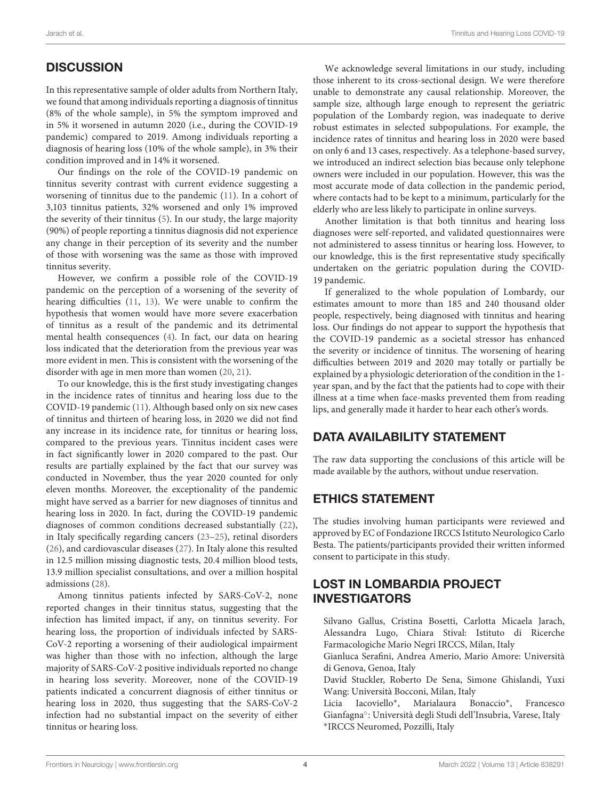# **DISCUSSION**

In this representative sample of older adults from Northern Italy, we found that among individuals reporting a diagnosis of tinnitus (8% of the whole sample), in 5% the symptom improved and in 5% it worsened in autumn 2020 (i.e., during the COVID-19 pandemic) compared to 2019. Among individuals reporting a diagnosis of hearing loss (10% of the whole sample), in 3% their condition improved and in 14% it worsened.

Our findings on the role of the COVID-19 pandemic on tinnitus severity contrast with current evidence suggesting a worsening of tinnitus due to the pandemic [\(11\)](#page-4-10). In a cohort of 3,103 tinnitus patients, 32% worsened and only 1% improved the severity of their tinnitus [\(5\)](#page-4-4). In our study, the large majority (90%) of people reporting a tinnitus diagnosis did not experience any change in their perception of its severity and the number of those with worsening was the same as those with improved tinnitus severity.

However, we confirm a possible role of the COVID-19 pandemic on the perception of a worsening of the severity of hearing difficulties [\(11,](#page-4-10) [13\)](#page-4-12). We were unable to confirm the hypothesis that women would have more severe exacerbation of tinnitus as a result of the pandemic and its detrimental mental health consequences [\(4\)](#page-4-3). In fact, our data on hearing loss indicated that the deterioration from the previous year was more evident in men. This is consistent with the worsening of the disorder with age in men more than women [\(20,](#page-4-19) [21\)](#page-4-20).

To our knowledge, this is the first study investigating changes in the incidence rates of tinnitus and hearing loss due to the COVID-19 pandemic [\(11\)](#page-4-10). Although based only on six new cases of tinnitus and thirteen of hearing loss, in 2020 we did not find any increase in its incidence rate, for tinnitus or hearing loss, compared to the previous years. Tinnitus incident cases were in fact significantly lower in 2020 compared to the past. Our results are partially explained by the fact that our survey was conducted in November, thus the year 2020 counted for only eleven months. Moreover, the exceptionality of the pandemic might have served as a barrier for new diagnoses of tinnitus and hearing loss in 2020. In fact, during the COVID-19 pandemic diagnoses of common conditions decreased substantially [\(22\)](#page-4-21), in Italy specifically regarding cancers [\(23](#page-4-22)[–25\)](#page-4-23), retinal disorders [\(26\)](#page-5-0), and cardiovascular diseases [\(27\)](#page-5-1). In Italy alone this resulted in 12.5 million missing diagnostic tests, 20.4 million blood tests, 13.9 million specialist consultations, and over a million hospital admissions [\(28\)](#page-5-2).

Among tinnitus patients infected by SARS-CoV-2, none reported changes in their tinnitus status, suggesting that the infection has limited impact, if any, on tinnitus severity. For hearing loss, the proportion of individuals infected by SARS-CoV-2 reporting a worsening of their audiological impairment was higher than those with no infection, although the large majority of SARS-CoV-2 positive individuals reported no change in hearing loss severity. Moreover, none of the COVID-19 patients indicated a concurrent diagnosis of either tinnitus or hearing loss in 2020, thus suggesting that the SARS-CoV-2 infection had no substantial impact on the severity of either tinnitus or hearing loss.

We acknowledge several limitations in our study, including those inherent to its cross-sectional design. We were therefore unable to demonstrate any causal relationship. Moreover, the sample size, although large enough to represent the geriatric population of the Lombardy region, was inadequate to derive robust estimates in selected subpopulations. For example, the incidence rates of tinnitus and hearing loss in 2020 were based on only 6 and 13 cases, respectively. As a telephone-based survey, we introduced an indirect selection bias because only telephone owners were included in our population. However, this was the most accurate mode of data collection in the pandemic period, where contacts had to be kept to a minimum, particularly for the elderly who are less likely to participate in online surveys.

Another limitation is that both tinnitus and hearing loss diagnoses were self-reported, and validated questionnaires were not administered to assess tinnitus or hearing loss. However, to our knowledge, this is the first representative study specifically undertaken on the geriatric population during the COVID-19 pandemic.

If generalized to the whole population of Lombardy, our estimates amount to more than 185 and 240 thousand older people, respectively, being diagnosed with tinnitus and hearing loss. Our findings do not appear to support the hypothesis that the COVID-19 pandemic as a societal stressor has enhanced the severity or incidence of tinnitus. The worsening of hearing difficulties between 2019 and 2020 may totally or partially be explained by a physiologic deterioration of the condition in the 1 year span, and by the fact that the patients had to cope with their illness at a time when face-masks prevented them from reading lips, and generally made it harder to hear each other's words.

# DATA AVAILABILITY STATEMENT

The raw data supporting the conclusions of this article will be made available by the authors, without undue reservation.

# ETHICS STATEMENT

The studies involving human participants were reviewed and approved by EC of Fondazione IRCCS Istituto Neurologico Carlo Besta. The patients/participants provided their written informed consent to participate in this study.

# LOST IN LOMBARDIA PROJECT INVESTIGATORS

Silvano Gallus, Cristina Bosetti, Carlotta Micaela Jarach, Alessandra Lugo, Chiara Stival: Istituto di Ricerche Farmacologiche Mario Negri IRCCS, Milan, Italy

Gianluca Serafini, Andrea Amerio, Mario Amore: Università di Genova, Genoa, Italy

David Stuckler, Roberto De Sena, Simone Ghislandi, Yuxi Wang: Università Bocconi, Milan, Italy

Licia Iacoviello<sup>∗</sup> , Marialaura Bonaccio<sup>∗</sup> , Francesco Gianfagna◦ : Università degli Studi dell'Insubria, Varese, Italy ∗ IRCCS Neuromed, Pozzilli, Italy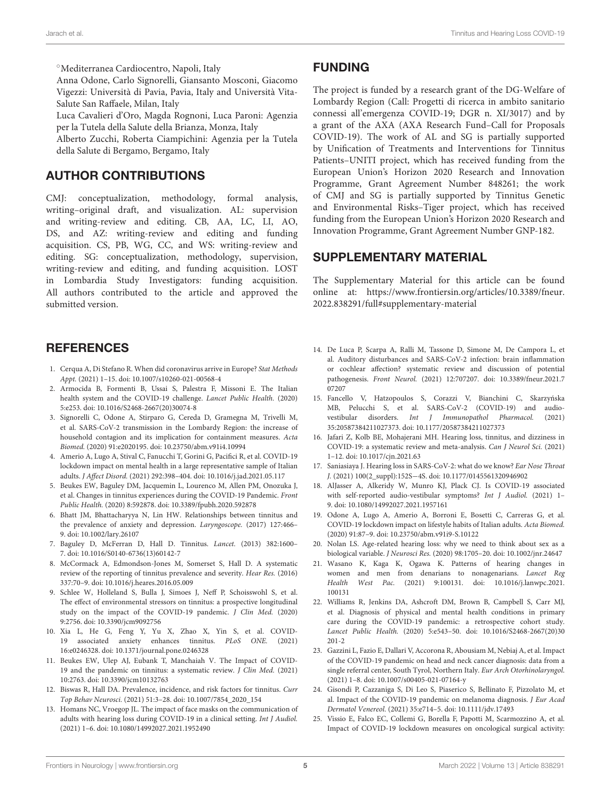◦Mediterranea Cardiocentro, Napoli, Italy

Anna Odone, Carlo Signorelli, Giansanto Mosconi, Giacomo Vigezzi: Università di Pavia, Pavia, Italy and Università Vita-Salute San Raffaele, Milan, Italy

Luca Cavalieri d'Oro, Magda Rognoni, Luca Paroni: Agenzia per la Tutela della Salute della Brianza, Monza, Italy

Alberto Zucchi, Roberta Ciampichini: Agenzia per la Tutela della Salute di Bergamo, Bergamo, Italy

# AUTHOR CONTRIBUTIONS

CMJ: conceptualization, methodology, formal analysis, writing–original draft, and visualization. AL: supervision and writing-review and editing. CB, AA, LC, LI, AO, DS, and AZ: writing-review and editing and funding acquisition. CS, PB, WG, CC, and WS: writing-review and editing. SG: conceptualization, methodology, supervision, writing-review and editing, and funding acquisition. LOST in Lombardia Study Investigators: funding acquisition. All authors contributed to the article and approved the submitted version.

## **REFERENCES**

- <span id="page-4-0"></span>1. Cerqua A, Di Stefano R. When did coronavirus arrive in Europe? Stat Methods Appt. (2021) 1–15. doi: [10.1007/s10260-021-00568-4](https://doi.org/10.1007/s10260-021-00568-4)
- <span id="page-4-1"></span>2. Armocida B, Formenti B, Ussai S, Palestra F, Missoni E. The Italian health system and the COVID-19 challenge. Lancet Public Health. (2020) 5:e253. doi: [10.1016/S2468-2667\(20\)30074-8](https://doi.org/10.1016/S2468-2667(20)30074-8)
- <span id="page-4-2"></span>3. Signorelli C, Odone A, Stirparo G, Cereda D, Gramegna M, Trivelli M, et al. SARS-CoV-2 transmission in the Lombardy Region: the increase of household contagion and its implication for containment measures. Acta Biomed. (2020) 91:e2020195. doi: [10.23750/abm.v91i4.10994](https://doi.org/10.23750/abm.v91i4.10994)
- <span id="page-4-3"></span>4. Amerio A, Lugo A, Stival C, Fanucchi T, Gorini G, Pacifici R, et al. COVID-19 lockdown impact on mental health in a large representative sample of Italian adults. J Affect Disord. (2021) 292:398–404. doi: [10.1016/j.jad.2021.05.117](https://doi.org/10.1016/j.jad.2021.05.117)
- <span id="page-4-4"></span>5. Beukes EW, Baguley DM, Jacquemin L, Lourenco M, Allen PM, Onozuka J, et al. Changes in tinnitus experiences during the COVID-19 Pandemic. Front Public Health. (2020) 8:592878. doi: [10.3389/fpubh.2020.592878](https://doi.org/10.3389/fpubh.2020.592878)
- <span id="page-4-5"></span>6. Bhatt JM, Bhattacharyya N, Lin HW. Relationships between tinnitus and the prevalence of anxiety and depression. Laryngoscope. (2017) 127:466– 9. doi: [10.1002/lary.26107](https://doi.org/10.1002/lary.26107)
- <span id="page-4-6"></span>7. Baguley D, McFerran D, Hall D. Tinnitus. Lancet. (2013) 382:1600– 7. doi: [10.1016/S0140-6736\(13\)60142-7](https://doi.org/10.1016/S0140-6736(13)60142-7)
- <span id="page-4-7"></span>8. McCormack A, Edmondson-Jones M, Somerset S, Hall D. A systematic review of the reporting of tinnitus prevalence and severity. Hear Res. (2016) 337:70–9. doi: [10.1016/j.heares.2016.05.009](https://doi.org/10.1016/j.heares.2016.05.009)
- <span id="page-4-8"></span>9. Schlee W, Holleland S, Bulla J, Simoes J, Neff P, Schoisswohl S, et al. The effect of environmental stressors on tinnitus: a prospective longitudinal study on the impact of the COVID-19 pandemic. J Clin Med. (2020) 9:2756. doi: [10.3390/jcm9092756](https://doi.org/10.3390/jcm9092756)
- <span id="page-4-9"></span>10. Xia L, He G, Feng Y, Yu X, Zhao X, Yin S, et al. COVID-19 associated anxiety enhances tinnitus. PLoS ONE. (2021) 16:e0246328. doi: [10.1371/journal.pone.0246328](https://doi.org/10.1371/journal.pone.0246328)
- <span id="page-4-10"></span>11. Beukes EW, Ulep AJ, Eubank T, Manchaiah V. The Impact of COVID-19 and the pandemic on tinnitus: a systematic review. J Clin Med. (2021) 10:2763. doi: [10.3390/jcm10132763](https://doi.org/10.3390/jcm10132763)
- <span id="page-4-11"></span>12. Biswas R, Hall DA. Prevalence, incidence, and risk factors for tinnitus. Curr Top Behav Neurosci. (2021) 51:3–28. doi: [10.1007/7854\\_2020\\_154](https://doi.org/10.1007/7854_2020_154)
- <span id="page-4-12"></span>13. Homans NC, Vroegop JL. The impact of face masks on the communication of adults with hearing loss during COVID-19 in a clinical setting. Int J Audiol. (2021) 1–6. doi: [10.1080/14992027.2021.1952490](https://doi.org/10.1080/14992027.2021.1952490)

## FUNDING

The project is funded by a research grant of the DG-Welfare of Lombardy Region (Call: Progetti di ricerca in ambito sanitario connessi all'emergenza COVID-19; DGR n. XI/3017) and by a grant of the AXA (AXA Research Fund–Call for Proposals COVID-19). The work of AL and SG is partially supported by Unification of Treatments and Interventions for Tinnitus Patients–UNITI project, which has received funding from the European Union's Horizon 2020 Research and Innovation Programme, Grant Agreement Number 848261; the work of CMJ and SG is partially supported by Tinnitus Genetic and Environmental Risks–Tiger project, which has received funding from the European Union's Horizon 2020 Research and Innovation Programme, Grant Agreement Number GNP-182.

## SUPPLEMENTARY MATERIAL

<span id="page-4-18"></span>The Supplementary Material for this article can be found [online at: https://www.frontiersin.org/articles/10.3389/fneur.](https://www.frontiersin.org/articles/10.3389/fneur.2022.838291/full#supplementary-material) 2022.838291/full#supplementary-material

- <span id="page-4-13"></span>14. De Luca P, Scarpa A, Ralli M, Tassone D, Simone M, De Campora L, et al. Auditory disturbances and SARS-CoV-2 infection: brain inflammation or cochlear affection? systematic review and discussion of potential pathogenesis. Front Neurol. [\(2021\) 12:707207. doi: 10.3389/fneur.2021.7](https://doi.org/10.3389/fneur.2021.707207) 07207
- 15. Fancello V, Hatzopoulos S, Corazzi V, Bianchini C, Skarzyńska MB, Pelucchi S, et al. SARS-CoV-2 (COVID-19) and audiovestibular disorders. Int J Immunopathol Pharmacol. (2021) 35:20587384211027373. doi: [10.1177/20587384211027373](https://doi.org/10.1177/20587384211027373)
- <span id="page-4-15"></span>16. Jafari Z, Kolb BE, Mohajerani MH. Hearing loss, tinnitus, and dizziness in COVID-19: a systematic review and meta-analysis. Can J Neurol Sci. (2021) 1–12. doi: [10.1017/cjn.2021.63](https://doi.org/10.1017/cjn.2021.63)
- <span id="page-4-14"></span>17. Saniasiaya J. Hearing loss in SARS-CoV-2: what do we know? Ear Nose Throat J. (2021) 100(2\_suppl):152S−4S. doi: [10.1177/0145561320946902](https://doi.org/10.1177/0145561320946902)
- <span id="page-4-16"></span>18. AlJasser A, Alkeridy W, Munro KJ, Plack CJ. Is COVID-19 associated with self-reported audio-vestibular symptoms? Int J Audiol. (2021) 1– 9. doi: [10.1080/14992027.2021.1957161](https://doi.org/10.1080/14992027.2021.1957161)
- <span id="page-4-17"></span>19. Odone A, Lugo A, Amerio A, Borroni E, Bosetti C, Carreras G, et al. COVID-19 lockdown impact on lifestyle habits of Italian adults. Acta Biomed. (2020) 91:87–9. doi: [10.23750/abm.v91i9-S.10122](https://doi.org/10.23750/abm.v91i9-S.10122)
- <span id="page-4-19"></span>20. Nolan LS. Age-related hearing loss: why we need to think about sex as a biological variable. J Neurosci Res. (2020) 98:1705–20. doi: [10.1002/jnr.24647](https://doi.org/10.1002/jnr.24647)
- <span id="page-4-20"></span>21. Wasano K, Kaga K, Ogawa K. Patterns of hearing changes in women and men from denarians to nonagenarians. Lancet Reg Health West Pac. [\(2021\) 9:100131. doi: 10.1016/j.lanwpc.2021.](https://doi.org/10.1016/j.lanwpc.2021.100131) 100131
- <span id="page-4-21"></span>22. Williams R, Jenkins DA, Ashcroft DM, Brown B, Campbell S, Carr MJ, et al. Diagnosis of physical and mental health conditions in primary care during the COVID-19 pandemic: a retrospective cohort study. Lancet Public Health. [\(2020\) 5:e543–50. doi: 10.1016/S2468-2667\(20\)30](https://doi.org/10.1016/S2468-2667(20)30201-2) 201-2
- <span id="page-4-22"></span>23. Gazzini L, Fazio E, Dallari V, Accorona R, Abousiam M, Nebiaj A, et al. Impact of the COVID-19 pandemic on head and neck cancer diagnosis: data from a single referral center, South Tyrol, Northern Italy. Eur Arch Otorhinolaryngol. (2021) 1–8. doi: [10.1007/s00405-021-07164-y](https://doi.org/10.1007/s00405-021-07164-y)
- 24. Gisondi P, Cazzaniga S, Di Leo S, Piaserico S, Bellinato F, Pizzolato M, et al. Impact of the COVID-19 pandemic on melanoma diagnosis. J Eur Acad Dermatol Venereol. (2021) 35:e714–5. doi: [10.1111/jdv.17493](https://doi.org/10.1111/jdv.17493)
- <span id="page-4-23"></span>25. Vissio E, Falco EC, Collemi G, Borella F, Papotti M, Scarmozzino A, et al. Impact of COVID-19 lockdown measures on oncological surgical activity: